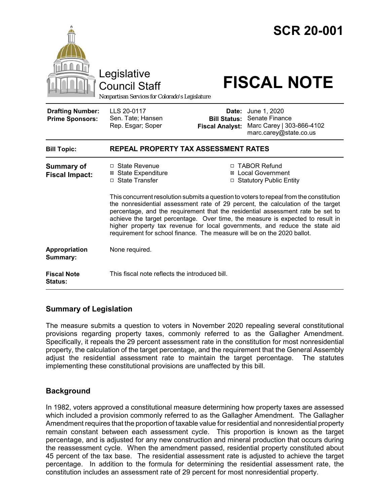

## **Summary of Legislation**

The measure submits a question to voters in November 2020 repealing several constitutional provisions regarding property taxes, commonly referred to as the Gallagher Amendment. Specifically, it repeals the 29 percent assessment rate in the constitution for most nonresidential property, the calculation of the target percentage, and the requirement that the General Assembly adjust the residential assessment rate to maintain the target percentage. The statutes implementing these constitutional provisions are unaffected by this bill.

## **Background**

In 1982, voters approved a constitutional measure determining how property taxes are assessed which included a provision commonly referred to as the Gallagher Amendment. The Gallagher Amendment requires that the proportion of taxable value for residential and nonresidential property remain constant between each assessment cycle. This proportion is known as the target percentage, and is adjusted for any new construction and mineral production that occurs during the reassessment cycle. When the amendment passed, residential property constituted about 45 percent of the tax base. The residential assessment rate is adjusted to achieve the target percentage. In addition to the formula for determining the residential assessment rate, the constitution includes an assessment rate of 29 percent for most nonresidential property.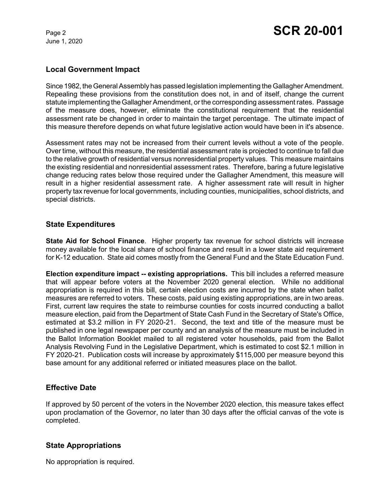June 1, 2020

#### **Local Government Impact**

Since 1982, the General Assembly has passed legislation implementing the Gallagher Amendment. Repealing these provisions from the constitution does not, in and of itself, change the current statute implementing the Gallagher Amendment, or the corresponding assessment rates. Passage of the measure does, however, eliminate the constitutional requirement that the residential assessment rate be changed in order to maintain the target percentage. The ultimate impact of this measure therefore depends on what future legislative action would have been in it's absence.

Assessment rates may not be increased from their current levels without a vote of the people. Over time, without this measure, the residential assessment rate is projected to continue to fall due to the relative growth of residential versus nonresidential property values. This measure maintains the existing residential and nonresidential assessment rates. Therefore, baring a future legislative change reducing rates below those required under the Gallagher Amendment, this measure will result in a higher residential assessment rate. A higher assessment rate will result in higher property tax revenue for local governments, including counties, municipalities, school districts, and special districts.

#### **State Expenditures**

**State Aid for School Finance**. Higher property tax revenue for school districts will increase money available for the local share of school finance and result in a lower state aid requirement for K-12 education. State aid comes mostly from the General Fund and the State Education Fund.

**Election expenditure impact -- existing appropriations.** This bill includes a referred measure that will appear before voters at the November 2020 general election. While no additional appropriation is required in this bill, certain election costs are incurred by the state when ballot measures are referred to voters. These costs, paid using existing appropriations, are in two areas. First, current law requires the state to reimburse counties for costs incurred conducting a ballot measure election, paid from the Department of State Cash Fund in the Secretary of State's Office, estimated at \$3.2 million in FY 2020-21. Second, the text and title of the measure must be published in one legal newspaper per county and an analysis of the measure must be included in the Ballot Information Booklet mailed to all registered voter households, paid from the Ballot Analysis Revolving Fund in the Legislative Department, which is estimated to cost \$2.1 million in FY 2020-21. Publication costs will increase by approximately \$115,000 per measure beyond this base amount for any additional referred or initiated measures place on the ballot.

## **Effective Date**

If approved by 50 percent of the voters in the November 2020 election, this measure takes effect upon proclamation of the Governor, no later than 30 days after the official canvas of the vote is completed.

## **State Appropriations**

No appropriation is required.